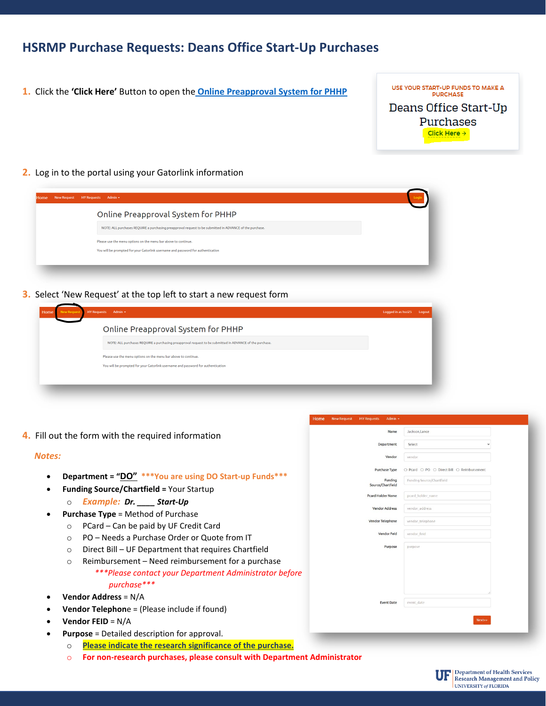# **HSRMP Purchase Requests: Deans Office Start-Up Purchases**

- USE YOUR START-UP FUNDS TO MAKE A **1.** Click the **'Click Here'** Button to open the **[Online Preapproval System for PHHP](https://internal.phhp.ufl.edu/phhp/preapproval/) PURCHASE** Deans Office Start-Up Purchases Click Here  $\rightarrow$
- **2.** Log in to the portal using your Gatorlink information

| Online Preapproval System for PHHP                                                                       |  |
|----------------------------------------------------------------------------------------------------------|--|
| NOTE: ALL purchases REQUIRE a purchasing preapproval request to be submitted in ADVANCE of the purchase. |  |
| Please use the menu options on the menu bar above to continue.                                           |  |
| You will be prompted for your Gatorlink username and password for authentication                         |  |

**3.** Select 'New Request' at the top left to start a new request form

| NOTE: ALL purchases REQUIRE a purchasing preapproval request to be submitted in ADVANCE of the purchase.<br>Please use the menu options on the menu bar above to continue.<br>You will be prompted for your Gatorlink username and password for authentication | Online Preapproval System for PHHP |  |
|----------------------------------------------------------------------------------------------------------------------------------------------------------------------------------------------------------------------------------------------------------------|------------------------------------|--|
|                                                                                                                                                                                                                                                                |                                    |  |
|                                                                                                                                                                                                                                                                |                                    |  |
|                                                                                                                                                                                                                                                                |                                    |  |

**4.** Fill out the form with the required information

#### *Notes:*

- **Department = "DO" \*\*\*You are using DO Start-up Funds\*\*\***
- **Funding Source/Chartfield =** Your Startup
	- o *Example: Dr. \_\_\_\_ Start-Up*
- **Purchase Type** = Method of Purchase
	- o PCard Can be paid by UF Credit Card
	- o PO Needs a Purchase Order or Quote from IT
	- o Direct Bill UF Department that requires Chartfield
	- o Reimbursement Need reimbursement for a purchase *\*\*\*Please contact your Department Administrator before purchase\*\*\**
- **Vendor Address** = N/A
- **Vendor Telephon**e = (Please include if found)
- **Vendor FEID** = N/A
- **Purpose** = Detailed description for approval.
	- o **Please indicate the research significance of the purchase.**
	- o **For non-research purchases, please consult with Department Administrator**

| Department<br>Vendor         | Select<br>$\checkmark$                     |  |
|------------------------------|--------------------------------------------|--|
|                              |                                            |  |
|                              | vendor                                     |  |
| Purchase Type                | ○ Pcard ○ PO ○ Direct Bill ○ Reimbursement |  |
| Funding<br>Source/Chartfield | Funding Source/Chartfield                  |  |
| Pcard Holder Name            | pcard_holder_name                          |  |
| <b>Vendor Address</b>        | vendor_address                             |  |
| Vendor Telephone             | vendor_telephone                           |  |
| <b>Vendor Feid</b>           | vendor feld                                |  |
| Purpose                      | purpose                                    |  |
|                              |                                            |  |
| <b>Event Date</b>            | event date                                 |  |